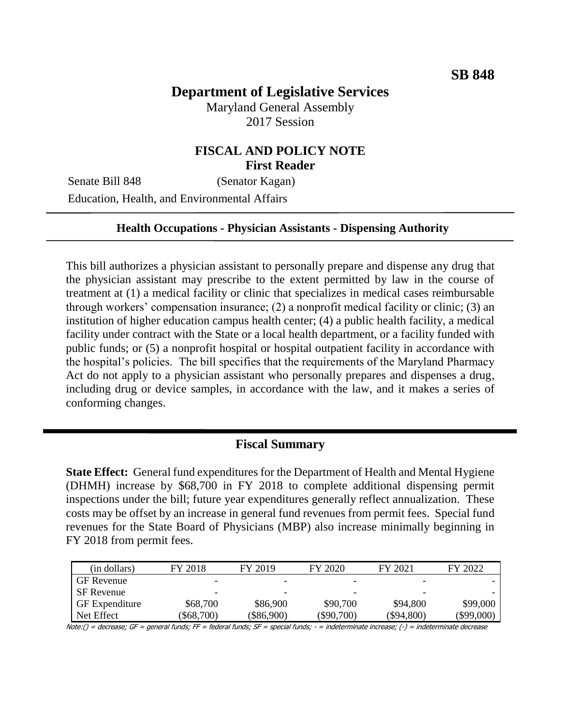# **Department of Legislative Services**

Maryland General Assembly 2017 Session

## **FISCAL AND POLICY NOTE First Reader**

Senate Bill 848 (Senator Kagan) Education, Health, and Environmental Affairs

#### **Health Occupations - Physician Assistants - Dispensing Authority**

This bill authorizes a physician assistant to personally prepare and dispense any drug that the physician assistant may prescribe to the extent permitted by law in the course of treatment at (1) a medical facility or clinic that specializes in medical cases reimbursable through workers' compensation insurance; (2) a nonprofit medical facility or clinic; (3) an institution of higher education campus health center; (4) a public health facility, a medical facility under contract with the State or a local health department, or a facility funded with public funds; or (5) a nonprofit hospital or hospital outpatient facility in accordance with the hospital's policies. The bill specifies that the requirements of the Maryland Pharmacy Act do not apply to a physician assistant who personally prepares and dispenses a drug, including drug or device samples, in accordance with the law, and it makes a series of conforming changes.

### **Fiscal Summary**

**State Effect:** General fund expenditures for the Department of Health and Mental Hygiene (DHMH) increase by \$68,700 in FY 2018 to complete additional dispensing permit inspections under the bill; future year expenditures generally reflect annualization. These costs may be offset by an increase in general fund revenues from permit fees. Special fund revenues for the State Board of Physicians (MBP) also increase minimally beginning in FY 2018 from permit fees.

| (in dollars)          | FY 2018                  | FY 2019                  | FY 2020                  | FY 2021                  | FY 2022      |
|-----------------------|--------------------------|--------------------------|--------------------------|--------------------------|--------------|
| <b>GF</b> Revenue     |                          |                          |                          | $\overline{\phantom{0}}$ |              |
| SF Revenue            | $\overline{\phantom{0}}$ | $\overline{\phantom{0}}$ | $\overline{\phantom{0}}$ | $\overline{\phantom{0}}$ |              |
| <b>GF</b> Expenditure | \$68,700                 | \$86,900                 | \$90,700                 | \$94,800                 | \$99,000     |
| Net Effect            | \$68,700                 | $(\$86,900)$             | $(\$90,700)$             | (\$94,800)               | $(\$99,000)$ |

Note:() = decrease; GF = general funds; FF = federal funds; SF = special funds; - = indeterminate increase; (-) = indeterminate decrease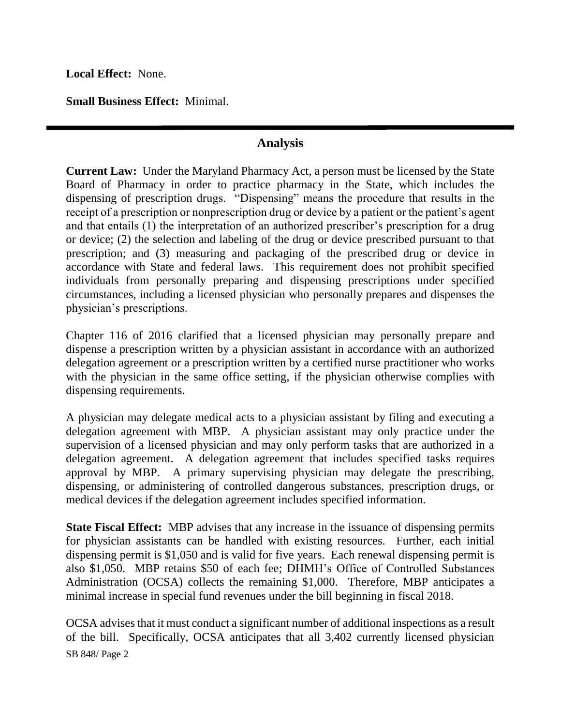**Local Effect:** None.

**Small Business Effect:** Minimal.

## **Analysis**

**Current Law:** Under the Maryland Pharmacy Act, a person must be licensed by the State Board of Pharmacy in order to practice pharmacy in the State, which includes the dispensing of prescription drugs. "Dispensing" means the procedure that results in the receipt of a prescription or nonprescription drug or device by a patient or the patient's agent and that entails (1) the interpretation of an authorized prescriber's prescription for a drug or device; (2) the selection and labeling of the drug or device prescribed pursuant to that prescription; and (3) measuring and packaging of the prescribed drug or device in accordance with State and federal laws. This requirement does not prohibit specified individuals from personally preparing and dispensing prescriptions under specified circumstances, including a licensed physician who personally prepares and dispenses the physician's prescriptions.

Chapter 116 of 2016 clarified that a licensed physician may personally prepare and dispense a prescription written by a physician assistant in accordance with an authorized delegation agreement or a prescription written by a certified nurse practitioner who works with the physician in the same office setting, if the physician otherwise complies with dispensing requirements.

A physician may delegate medical acts to a physician assistant by filing and executing a delegation agreement with MBP. A physician assistant may only practice under the supervision of a licensed physician and may only perform tasks that are authorized in a delegation agreement. A delegation agreement that includes specified tasks requires approval by MBP. A primary supervising physician may delegate the prescribing, dispensing, or administering of controlled dangerous substances, prescription drugs, or medical devices if the delegation agreement includes specified information.

**State Fiscal Effect:** MBP advises that any increase in the issuance of dispensing permits for physician assistants can be handled with existing resources. Further, each initial dispensing permit is \$1,050 and is valid for five years. Each renewal dispensing permit is also \$1,050. MBP retains \$50 of each fee; DHMH's Office of Controlled Substances Administration (OCSA) collects the remaining \$1,000. Therefore, MBP anticipates a minimal increase in special fund revenues under the bill beginning in fiscal 2018.

SB 848/ Page 2 OCSA advises that it must conduct a significant number of additional inspections as a result of the bill. Specifically, OCSA anticipates that all 3,402 currently licensed physician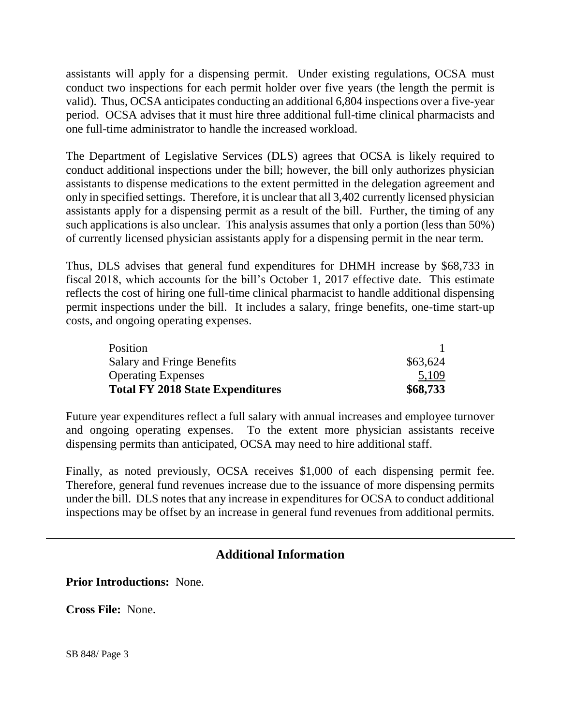assistants will apply for a dispensing permit. Under existing regulations, OCSA must conduct two inspections for each permit holder over five years (the length the permit is valid). Thus, OCSA anticipates conducting an additional 6,804 inspections over a five-year period. OCSA advises that it must hire three additional full-time clinical pharmacists and one full-time administrator to handle the increased workload.

The Department of Legislative Services (DLS) agrees that OCSA is likely required to conduct additional inspections under the bill; however, the bill only authorizes physician assistants to dispense medications to the extent permitted in the delegation agreement and only in specified settings. Therefore, it is unclear that all 3,402 currently licensed physician assistants apply for a dispensing permit as a result of the bill. Further, the timing of any such applications is also unclear. This analysis assumes that only a portion (less than 50%) of currently licensed physician assistants apply for a dispensing permit in the near term.

Thus, DLS advises that general fund expenditures for DHMH increase by \$68,733 in fiscal 2018, which accounts for the bill's October 1, 2017 effective date. This estimate reflects the cost of hiring one full-time clinical pharmacist to handle additional dispensing permit inspections under the bill. It includes a salary, fringe benefits, one-time start-up costs, and ongoing operating expenses.

| Position                                |          |
|-----------------------------------------|----------|
| <b>Salary and Fringe Benefits</b>       | \$63,624 |
| <b>Operating Expenses</b>               | 5,109    |
| <b>Total FY 2018 State Expenditures</b> | \$68,733 |

Future year expenditures reflect a full salary with annual increases and employee turnover and ongoing operating expenses. To the extent more physician assistants receive dispensing permits than anticipated, OCSA may need to hire additional staff.

Finally, as noted previously, OCSA receives \$1,000 of each dispensing permit fee. Therefore, general fund revenues increase due to the issuance of more dispensing permits under the bill. DLS notes that any increase in expenditures for OCSA to conduct additional inspections may be offset by an increase in general fund revenues from additional permits.

## **Additional Information**

**Prior Introductions:** None.

**Cross File:** None.